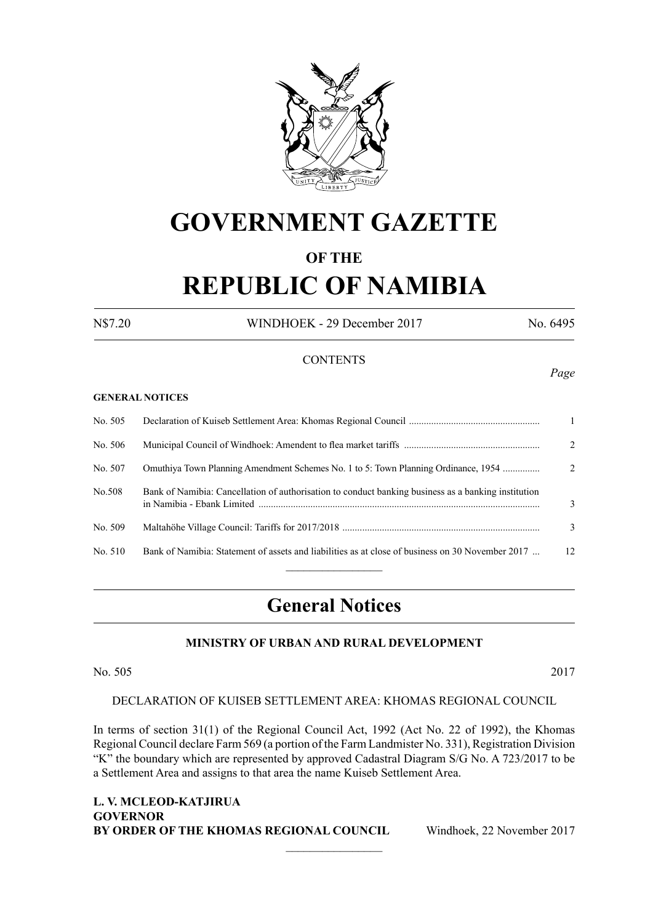

# **GOVERNMENT GAZETTE**

#### **OF THE**

# **REPUBLIC OF NAMIBIA**

N\$7.20 WINDHOEK - 29 December 2017 No. 6495

#### **CONTENTS**

#### **GENERAL NOTICES**

| No. 505 |                                                                                                     | $\overline{1}$ |
|---------|-----------------------------------------------------------------------------------------------------|----------------|
| No. 506 |                                                                                                     | $2^{\circ}$    |
| No. 507 | Omuthiya Town Planning Amendment Schemes No. 1 to 5: Town Planning Ordinance, 1954                  | $2^{\circ}$    |
| No.508  | Bank of Namibia: Cancellation of authorisation to conduct banking business as a banking institution | 3              |
| No. 509 |                                                                                                     | 3              |
| No. 510 | Bank of Namibia: Statement of assets and liabilities as at close of business on 30 November 2017    | 12             |
|         |                                                                                                     |                |

### **General Notices**

#### **MINISTRY OF URBAN AND RURAL DEVELOPMENT**

No. 505 2017

#### DECLARATION OF KUISEB SETTLEMENT AREA: KHOMAS REGIONAL COUNCIL

In terms of section 31(1) of the Regional Council Act, 1992 (Act No. 22 of 1992), the Khomas Regional Council declare Farm 569 (a portion of the Farm Landmister No. 331), Registration Division "K" the boundary which are represented by approved Cadastral Diagram S/G No. A 723/2017 to be a Settlement Area and assigns to that area the name Kuiseb Settlement Area.

 $\frac{1}{2}$ 

**L. V. MCLEOD-KATJIRUA GOVERNOR BY ORDER OF THE KHOMAS REGIONAL COUNCIL** Windhoek, 22 November 2017

*Page*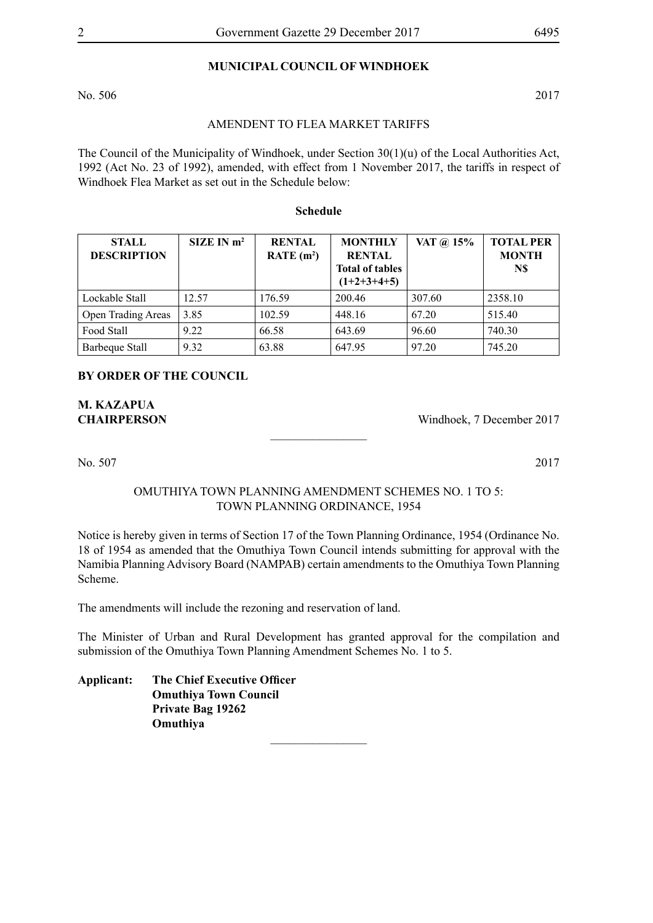#### **MUNICIPAL COUNCIL OF WINDHOEK**

No. 506 2017

#### AMENDENT TO FLEA MARKET TARIFFS

The Council of the Municipality of Windhoek, under Section 30(1)(u) of the Local Authorities Act, 1992 (Act No. 23 of 1992), amended, with effect from 1 November 2017, the tariffs in respect of Windhoek Flea Market as set out in the Schedule below:

#### **Schedule**

| <b>STALL</b><br><b>DESCRIPTION</b> | SIZE IN m <sup>2</sup> | <b>RENTAL</b><br>RATE $(m^2)$ | <b>MONTHLY</b><br><b>RENTAL</b><br><b>Total of tables</b><br>$(1+2+3+4+5)$ | VAT @ 15% | <b>TOTAL PER</b><br><b>MONTH</b><br>N\$ |
|------------------------------------|------------------------|-------------------------------|----------------------------------------------------------------------------|-----------|-----------------------------------------|
| Lockable Stall                     | 12.57                  | 176.59                        | 200.46                                                                     | 307.60    | 2358.10                                 |
| <b>Open Trading Areas</b>          | 3.85                   | 102.59                        | 448.16                                                                     | 67.20     | 515.40                                  |
| Food Stall                         | 9.22                   | 66.58                         | 643.69                                                                     | 96.60     | 740.30                                  |
| Barbeque Stall                     | 9.32                   | 63.88                         | 647.95                                                                     | 97.20     | 745.20                                  |

#### **BY ORDER OF THE COUNCIL**

**M. Kazapua**

**CHAIRPERSON** Windhoek, 7 December 2017

No. 507 2017

#### OMUTHIYA TOWN PLANNING AMENDMENT SCHEMES NO. 1 TO 5: TOWN PLANNING ORDINANCE, 1954

 $\frac{1}{2}$ 

Notice is hereby given in terms of Section 17 of the Town Planning Ordinance, 1954 (Ordinance No. 18 of 1954 as amended that the Omuthiya Town Council intends submitting for approval with the Namibia Planning Advisory Board (NAMPAB) certain amendments to the Omuthiya Town Planning Scheme.

The amendments will include the rezoning and reservation of land.

The Minister of Urban and Rural Development has granted approval for the compilation and submission of the Omuthiya Town Planning Amendment Schemes No. 1 to 5.

**Applicant: The Chief Executive Officer Omuthiya Town Council Private Bag 19262 Omuthiya**  $\overline{\phantom{a}}$  , where  $\overline{\phantom{a}}$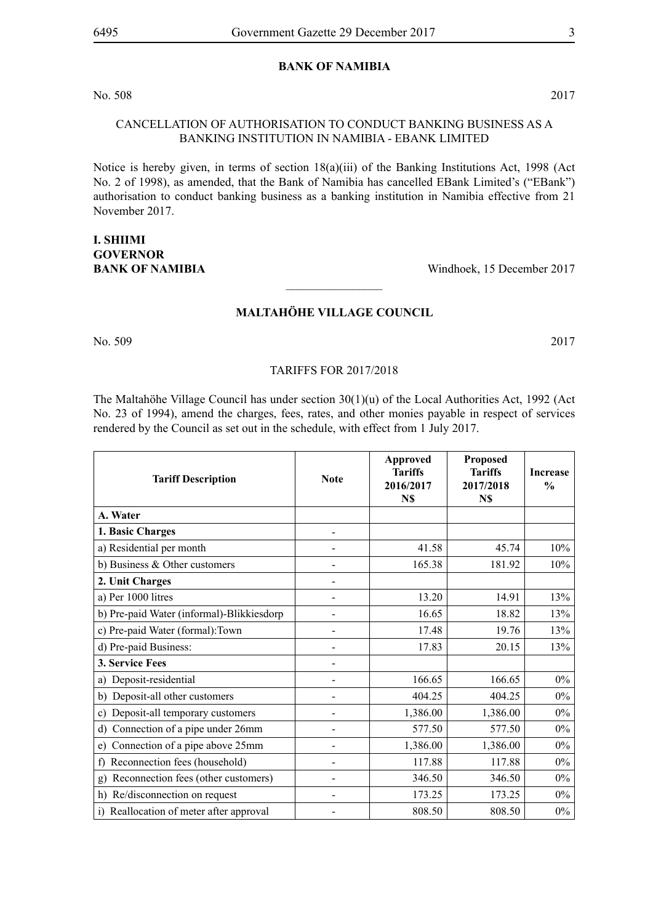#### **BANK OF NAMIBIA**

No. 508 2017

#### CANCELLATION OF AUTHORISATION TO CONDUCT BANKING BUSINESS AS A BANKING INSTITUTION IN NAMIBIA - EBANK LIMITED

Notice is hereby given, in terms of section 18(a)(iii) of the Banking Institutions Act, 1998 (Act No. 2 of 1998), as amended, that the Bank of Namibia has cancelled EBank Limited's ("EBank") authorisation to conduct banking business as a banking institution in Namibia effective from 21 November 2017.

## **I. Shiimi GOVERNOR**

**BANK OF NAMIBIA** Windhoek, 15 December 2017

#### **Maltahöhe Village Council**

 $\overline{\phantom{a}}$  , where  $\overline{\phantom{a}}$ 

No. 509 2017

#### Tariffs for 2017/2018

The Maltahöhe Village Council has under section  $30(1)(u)$  of the Local Authorities Act, 1992 (Act No. 23 of 1994), amend the charges, fees, rates, and other monies payable in respect of services rendered by the Council as set out in the schedule, with effect from 1 July 2017.

| <b>Tariff Description</b>                 | <b>Note</b>    | <b>Approved</b><br><b>Tariffs</b><br>2016/2017<br>N\$ | Proposed<br><b>Tariffs</b><br>2017/2018<br>N\$ | <b>Increase</b><br>$\frac{0}{0}$ |
|-------------------------------------------|----------------|-------------------------------------------------------|------------------------------------------------|----------------------------------|
| A. Water                                  |                |                                                       |                                                |                                  |
| 1. Basic Charges                          |                |                                                       |                                                |                                  |
| a) Residential per month                  |                | 41.58                                                 | 45.74                                          | 10%                              |
| b) Business $&$ Other customers           |                | 165.38                                                | 181.92                                         | 10%                              |
| 2. Unit Charges                           |                |                                                       |                                                |                                  |
| a) Per 1000 litres                        |                | 13.20                                                 | 14.91                                          | 13%                              |
| b) Pre-paid Water (informal)-Blikkiesdorp |                | 16.65                                                 | 18.82                                          | 13%                              |
| c) Pre-paid Water (formal): Town          |                | 17.48                                                 | 19.76                                          | 13%                              |
| d) Pre-paid Business:                     |                | 17.83                                                 | 20.15                                          | 13%                              |
| 3. Service Fees                           |                |                                                       |                                                |                                  |
| Deposit-residential<br>a)                 |                | 166.65                                                | 166.65                                         | $0\%$                            |
| Deposit-all other customers<br>b)         |                | 404.25                                                | 404.25                                         | $0\%$                            |
| Deposit-all temporary customers<br>c)     |                | 1,386.00                                              | 1,386.00                                       | $0\%$                            |
| Connection of a pipe under 26mm<br>d)     |                | 577.50                                                | 577.50                                         | $0\%$                            |
| Connection of a pipe above 25mm<br>e)     |                | 1,386.00                                              | 1,386.00                                       | $0\%$                            |
| Reconnection fees (household)<br>f)       |                | 117.88                                                | 117.88                                         | $0\%$                            |
| Reconnection fees (other customers)<br>g) | $\overline{a}$ | 346.50                                                | 346.50                                         | $0\%$                            |
| Re/disconnection on request<br>h)         |                | 173.25                                                | 173.25                                         | $0\%$                            |
| i) Reallocation of meter after approval   |                | 808.50                                                | 808.50                                         | $0\%$                            |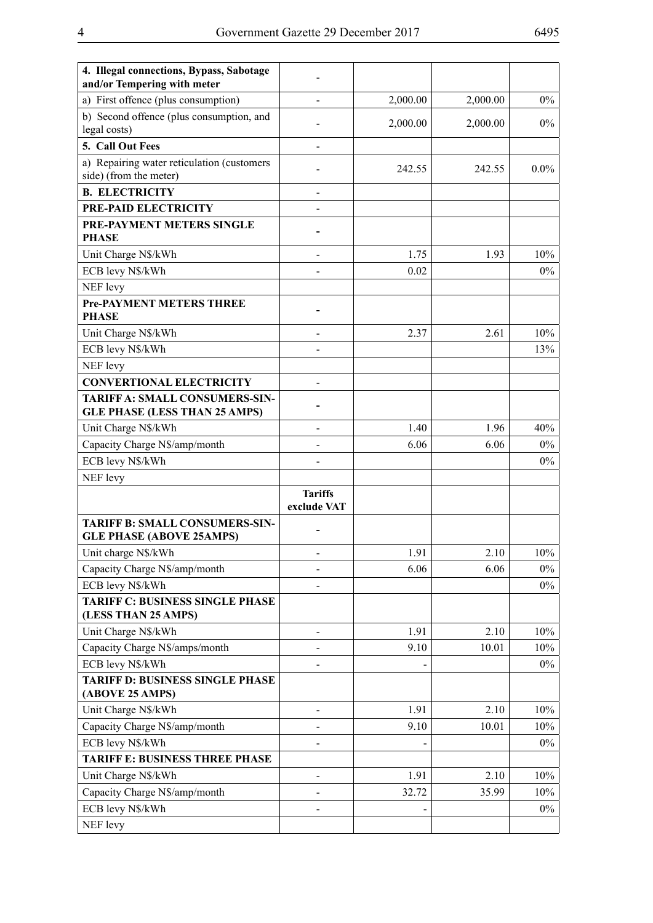| 4. Illegal connections, Bypass, Sabotage<br>and/or Tempering with meter  |                               |          |          |         |
|--------------------------------------------------------------------------|-------------------------------|----------|----------|---------|
| a) First offence (plus consumption)                                      |                               | 2,000.00 | 2,000.00 | $0\%$   |
| b) Second offence (plus consumption, and<br>legal costs)                 |                               | 2,000.00 | 2,000.00 | $0\%$   |
| 5. Call Out Fees                                                         |                               |          |          |         |
| a) Repairing water reticulation (customers<br>side) (from the meter)     |                               | 242.55   | 242.55   | $0.0\%$ |
| <b>B. ELECTRICITY</b>                                                    |                               |          |          |         |
| PRE-PAID ELECTRICITY                                                     |                               |          |          |         |
| PRE-PAYMENT METERS SINGLE<br><b>PHASE</b>                                |                               |          |          |         |
| Unit Charge N\$/kWh                                                      |                               | 1.75     | 1.93     | 10%     |
| ECB levy N\$/kWh                                                         |                               | 0.02     |          | $0\%$   |
| NEF levy                                                                 |                               |          |          |         |
| <b>Pre-PAYMENT METERS THREE</b>                                          |                               |          |          |         |
| <b>PHASE</b>                                                             |                               |          |          |         |
| Unit Charge N\$/kWh                                                      |                               | 2.37     | 2.61     | 10%     |
| ECB levy N\$/kWh                                                         |                               |          |          | 13%     |
| NEF levy                                                                 |                               |          |          |         |
| <b>CONVERTIONAL ELECTRICITY</b>                                          |                               |          |          |         |
| TARIFF A: SMALL CONSUMERS-SIN-<br><b>GLE PHASE (LESS THAN 25 AMPS)</b>   |                               |          |          |         |
| Unit Charge N\$/kWh                                                      |                               | 1.40     | 1.96     | 40%     |
| Capacity Charge N\$/amp/month                                            |                               | 6.06     | 6.06     | $0\%$   |
| ECB levy N\$/kWh                                                         |                               |          |          | $0\%$   |
| NEF levy                                                                 |                               |          |          |         |
|                                                                          | <b>Tariffs</b><br>exclude VAT |          |          |         |
| <b>TARIFF B: SMALL CONSUMERS-SIN-</b><br><b>GLE PHASE (ABOVE 25AMPS)</b> |                               |          |          |         |
| Unit charge N\$/kWh                                                      |                               | 1.91     | 2.10     | 10%     |
| Capacity Charge N\$/amp/month                                            |                               | 6.06     | 6.06     | $0\%$   |
| ECB levy N\$/kWh                                                         |                               |          |          | $0\%$   |
| <b>TARIFF C: BUSINESS SINGLE PHASE</b><br>(LESS THAN 25 AMPS)            |                               |          |          |         |
| Unit Charge N\$/kWh                                                      |                               | 1.91     | 2.10     | 10%     |
| Capacity Charge N\$/amps/month                                           |                               | 9.10     | 10.01    | 10%     |
| ECB levy N\$/kWh                                                         |                               |          |          | $0\%$   |
| <b>TARIFF D: BUSINESS SINGLE PHASE</b><br>(ABOVE 25 AMPS)                |                               |          |          |         |
| Unit Charge N\$/kWh                                                      |                               | 1.91     | 2.10     | 10%     |
| Capacity Charge N\$/amp/month                                            |                               | 9.10     | 10.01    | 10%     |
| ECB levy N\$/kWh                                                         |                               |          |          | $0\%$   |
| <b>TARIFF E: BUSINESS THREE PHASE</b>                                    |                               |          |          |         |
| Unit Charge N\$/kWh                                                      |                               | 1.91     | 2.10     | 10%     |
| Capacity Charge N\$/amp/month                                            |                               | 32.72    | 35.99    | 10%     |
| ECB levy N\$/kWh                                                         |                               |          |          | $0\%$   |
| NEF levy                                                                 |                               |          |          |         |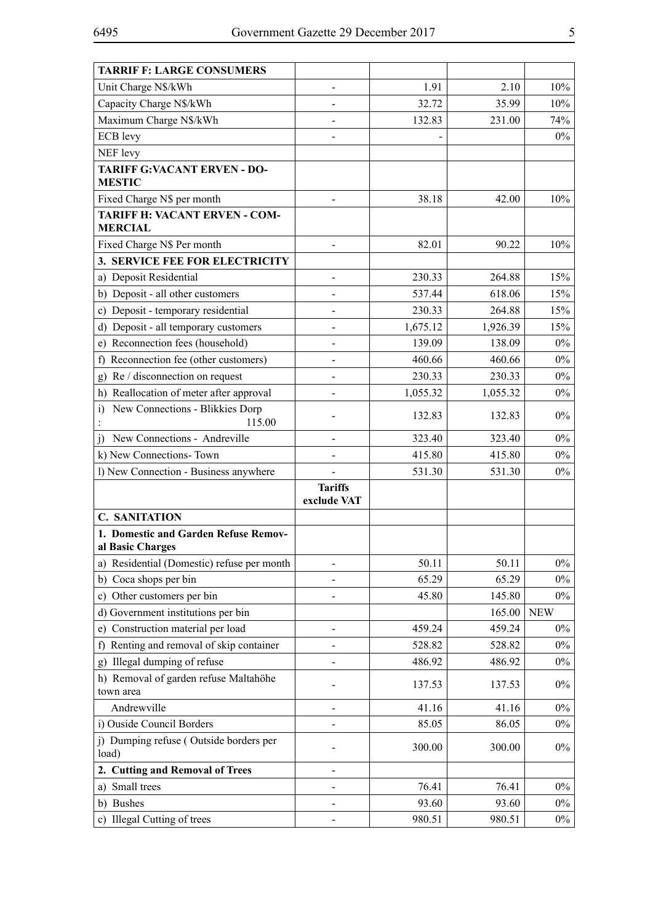| <b>TARRIF F: LARGE CONSUMERS</b>                          |                               |          |          |            |
|-----------------------------------------------------------|-------------------------------|----------|----------|------------|
| Unit Charge N\$/kWh                                       | $\overline{\phantom{0}}$      | 1.91     | 2.10     | 10%        |
| Capacity Charge N\$/kWh                                   |                               | 32.72    | 35.99    | 10%        |
| Maximum Charge N\$/kWh                                    |                               | 132.83   | 231.00   | 74%        |
| <b>ECB</b> levy                                           |                               |          |          | $0\%$      |
| NEF levy                                                  |                               |          |          |            |
| <b>TARIFF G:VACANT ERVEN - DO-</b><br><b>MESTIC</b>       |                               |          |          |            |
| Fixed Charge N\$ per month                                |                               | 38.18    | 42.00    | 10%        |
| <b>TARIFF H: VACANT ERVEN - COM-</b><br><b>MERCIAL</b>    |                               |          |          |            |
| Fixed Charge N\$ Per month                                | $\overline{a}$                | 82.01    | 90.22    | 10%        |
| 3. SERVICE FEE FOR ELECTRICITY                            |                               |          |          |            |
| a) Deposit Residential                                    |                               | 230.33   | 264.88   | 15%        |
| b) Deposit - all other customers                          |                               | 537.44   | 618.06   | 15%        |
| Deposit - temporary residential<br>C)                     | $\overline{a}$                | 230.33   | 264.88   | 15%        |
| d) Deposit - all temporary customers                      |                               | 1,675.12 | 1,926.39 | 15%        |
| Reconnection fees (household)<br>e)                       |                               | 139.09   | 138.09   | $0\%$      |
| Reconnection fee (other customers)<br>f)                  |                               | 460.66   | 460.66   | $0\%$      |
| Re / disconnection on request<br>g)                       | $\overline{a}$                | 230.33   | 230.33   | $0\%$      |
| h) Reallocation of meter after approval                   |                               | 1,055.32 | 1,055.32 | $0\%$      |
| New Connections - Blikkies Dorp<br>$\mathbf{i}$<br>115.00 |                               | 132.83   | 132.83   | $0\%$      |
| New Connections - Andreville<br>i)                        |                               | 323.40   | 323.40   | $0\%$      |
| k) New Connections-Town                                   |                               | 415.80   | 415.80   | $0\%$      |
| l) New Connection - Business anywhere                     |                               | 531.30   | 531.30   | $0\%$      |
|                                                           | <b>Tariffs</b><br>exclude VAT |          |          |            |
| <b>C. SANITATION</b>                                      |                               |          |          |            |
| 1. Domestic and Garden Refuse Remov-<br>al Basic Charges  |                               |          |          |            |
| a) Residential (Domestic) refuse per month                |                               | 50.11    | 50.11    | $0\%$      |
| b) Coca shops per bin                                     |                               | 65.29    | 65.29    | $0\%$      |
| Other customers per bin<br>C)                             |                               | 45.80    | 145.80   | $0\%$      |
| d) Government institutions per bin                        |                               |          | 165.00   | <b>NEW</b> |
| e) Construction material per load                         |                               | 459.24   | 459.24   | $0\%$      |
| Renting and removal of skip container<br>f)               |                               | 528.82   | 528.82   | $0\%$      |
| g) Illegal dumping of refuse                              |                               | 486.92   | 486.92   | $0\%$      |
| h) Removal of garden refuse Maltahöhe<br>town area        |                               | 137.53   | 137.53   | $0\%$      |
| Andrewville                                               |                               | 41.16    | 41.16    | $0\%$      |
| i) Ouside Council Borders                                 |                               | 85.05    | 86.05    | $0\%$      |
| j) Dumping refuse (Outside borders per<br>load)           |                               | 300.00   | 300.00   | $0\%$      |
| 2. Cutting and Removal of Trees                           |                               |          |          |            |
| Small trees<br>a)                                         |                               | 76.41    | 76.41    | $0\%$      |
| b) Bushes                                                 |                               | 93.60    | 93.60    | $0\%$      |
| c) Illegal Cutting of trees                               |                               | 980.51   | 980.51   | $0\%$      |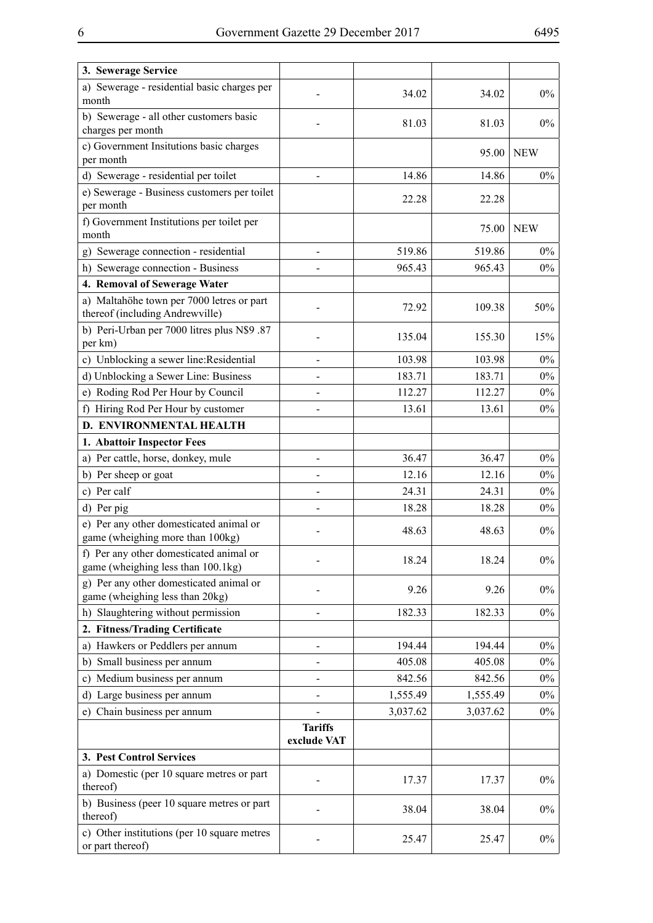| 3. Sewerage Service                                                           |                               |          |          |            |
|-------------------------------------------------------------------------------|-------------------------------|----------|----------|------------|
| a) Sewerage - residential basic charges per<br>month                          |                               | 34.02    | 34.02    | $0\%$      |
| b) Sewerage - all other customers basic<br>charges per month                  |                               | 81.03    | 81.03    | $0\%$      |
| c) Government Insitutions basic charges<br>per month                          |                               |          | 95.00    | <b>NEW</b> |
| d) Sewerage - residential per toilet                                          |                               | 14.86    | 14.86    | $0\%$      |
| e) Sewerage - Business customers per toilet                                   |                               | 22.28    | 22.28    |            |
| per month                                                                     |                               |          |          |            |
| f) Government Institutions per toilet per<br>month                            |                               |          | 75.00    | <b>NEW</b> |
| Sewerage connection - residential<br>g)                                       |                               | 519.86   | 519.86   | $0\%$      |
| h) Sewerage connection - Business                                             |                               | 965.43   | 965.43   | $0\%$      |
| 4. Removal of Sewerage Water                                                  |                               |          |          |            |
| a) Maltahöhe town per 7000 letres or part<br>thereof (including Andrewville)  |                               | 72.92    | 109.38   | 50%        |
| b) Peri-Urban per 7000 litres plus N\$9.87<br>per km)                         |                               | 135.04   | 155.30   | 15%        |
| c) Unblocking a sewer line: Residential                                       |                               | 103.98   | 103.98   | $0\%$      |
| d) Unblocking a Sewer Line: Business                                          |                               | 183.71   | 183.71   | $0\%$      |
| e) Roding Rod Per Hour by Council                                             |                               | 112.27   | 112.27   | $0\%$      |
| f) Hiring Rod Per Hour by customer                                            |                               | 13.61    | 13.61    | $0\%$      |
| D. ENVIRONMENTAL HEALTH                                                       |                               |          |          |            |
| 1. Abattoir Inspector Fees                                                    |                               |          |          |            |
| a) Per cattle, horse, donkey, mule                                            | -                             | 36.47    | 36.47    | $0\%$      |
| b) Per sheep or goat                                                          |                               | 12.16    | 12.16    | $0\%$      |
| c) Per calf                                                                   |                               | 24.31    | 24.31    | $0\%$      |
| d) Per pig                                                                    |                               | 18.28    | 18.28    | $0\%$      |
| e) Per any other domesticated animal or<br>game (wheighing more than 100kg)   |                               | 48.63    | 48.63    | $0\%$      |
| f) Per any other domesticated animal or<br>game (wheighing less than 100.1kg) |                               | 18.24    | 18.24    | $0\%$      |
| g) Per any other domesticated animal or<br>game (wheighing less than 20kg)    |                               | 9.26     | 9.26     | $0\%$      |
| Slaughtering without permission<br>h)                                         |                               | 182.33   | 182.33   | $0\%$      |
| 2. Fitness/Trading Certificate                                                |                               |          |          |            |
| a) Hawkers or Peddlers per annum                                              |                               | 194.44   | 194.44   | $0\%$      |
| Small business per annum<br>b)                                                |                               | 405.08   | 405.08   | $0\%$      |
| Medium business per annum<br>C)                                               |                               | 842.56   | 842.56   | $0\%$      |
| Large business per annum<br>d).                                               |                               | 1,555.49 | 1,555.49 | $0\%$      |
| e) Chain business per annum                                                   |                               | 3,037.62 | 3,037.62 | $0\%$      |
|                                                                               | <b>Tariffs</b><br>exclude VAT |          |          |            |
| 3. Pest Control Services                                                      |                               |          |          |            |
| a) Domestic (per 10 square metres or part<br>thereof)                         |                               | 17.37    | 17.37    | $0\%$      |
| b) Business (peer 10 square metres or part<br>thereof)                        |                               | 38.04    | 38.04    | $0\%$      |
| c) Other institutions (per 10 square metres<br>or part thereof)               |                               | 25.47    | 25.47    | $0\%$      |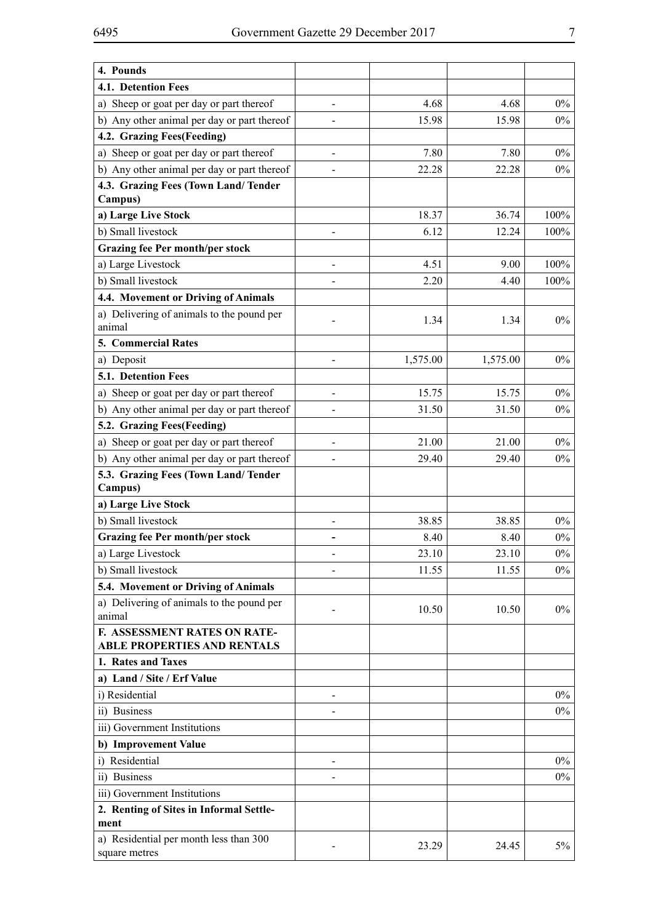| 4. Pounds                                                |                |          |          |       |
|----------------------------------------------------------|----------------|----------|----------|-------|
| 4.1. Detention Fees                                      |                |          |          |       |
| a) Sheep or goat per day or part thereof                 |                | 4.68     | 4.68     | $0\%$ |
| b) Any other animal per day or part thereof              |                | 15.98    | 15.98    | $0\%$ |
| 4.2. Grazing Fees(Feeding)                               |                |          |          |       |
| a) Sheep or goat per day or part thereof                 | $\blacksquare$ | 7.80     | 7.80     | $0\%$ |
| b) Any other animal per day or part thereof              |                | 22.28    | 22.28    | $0\%$ |
| 4.3. Grazing Fees (Town Land/Tender                      |                |          |          |       |
| Campus)                                                  |                |          |          |       |
| a) Large Live Stock                                      |                | 18.37    | 36.74    | 100%  |
| b) Small livestock                                       | $\overline{a}$ | 6.12     | 12.24    | 100%  |
| <b>Grazing fee Per month/per stock</b>                   |                |          |          |       |
| a) Large Livestock                                       |                | 4.51     | 9.00     | 100%  |
| b) Small livestock                                       |                | 2.20     | 4.40     | 100%  |
| 4.4. Movement or Driving of Animals                      |                |          |          |       |
| a) Delivering of animals to the pound per                |                |          |          |       |
| animal                                                   |                | 1.34     | 1.34     | $0\%$ |
| 5. Commercial Rates                                      |                |          |          |       |
| a) Deposit                                               |                | 1,575.00 | 1,575.00 | $0\%$ |
| 5.1. Detention Fees                                      |                |          |          |       |
| a) Sheep or goat per day or part thereof                 |                | 15.75    | 15.75    | $0\%$ |
| b) Any other animal per day or part thereof              |                | 31.50    | 31.50    | $0\%$ |
| 5.2. Grazing Fees(Feeding)                               |                |          |          |       |
| a) Sheep or goat per day or part thereof                 |                | 21.00    | 21.00    | $0\%$ |
| b) Any other animal per day or part thereof              |                | 29.40    | 29.40    | $0\%$ |
| 5.3. Grazing Fees (Town Land/Tender                      |                |          |          |       |
| Campus)                                                  |                |          |          |       |
| a) Large Live Stock                                      |                |          |          |       |
| b) Small livestock                                       |                | 38.85    | 38.85    | $0\%$ |
| <b>Grazing fee Per month/per stock</b>                   |                | 8.40     | 8.40     | $0\%$ |
| a) Large Livestock                                       |                | 23.10    | 23.10    | $0\%$ |
| b) Small livestock                                       |                | 11.55    | 11.55    | $0\%$ |
| 5.4. Movement or Driving of Animals                      |                |          |          |       |
| a) Delivering of animals to the pound per                |                | 10.50    | 10.50    | $0\%$ |
| animal                                                   |                |          |          |       |
| F. ASSESSMENT RATES ON RATE-                             |                |          |          |       |
| <b>ABLE PROPERTIES AND RENTALS</b><br>1. Rates and Taxes |                |          |          |       |
| a) Land / Site / Erf Value                               |                |          |          |       |
| i) Residential                                           |                |          |          | $0\%$ |
| ii) Business                                             |                |          |          |       |
|                                                          |                |          |          | $0\%$ |
| iii) Government Institutions                             |                |          |          |       |
| b) Improvement Value<br>i) Residential                   |                |          |          |       |
|                                                          |                |          |          | $0\%$ |
| ii) Business                                             |                |          |          | $0\%$ |
| iii) Government Institutions                             |                |          |          |       |
| 2. Renting of Sites in Informal Settle-<br>ment          |                |          |          |       |
| a) Residential per month less than 300                   |                |          |          |       |
| square metres                                            |                | 23.29    | 24.45    | 5%    |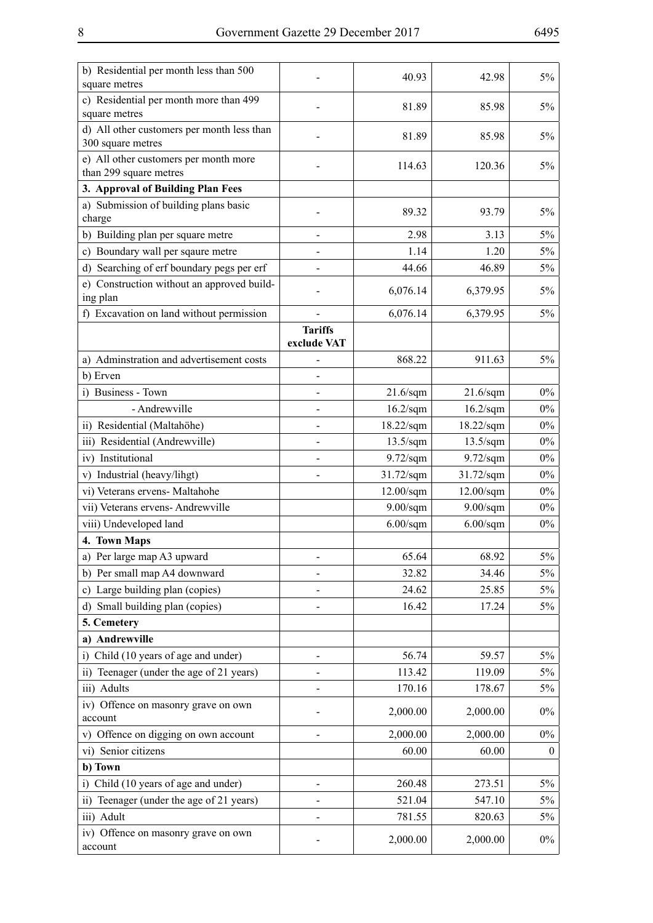| b) Residential per month less than 500<br>square metres         |                               | 40.93               | 42.98               | $5\%$            |
|-----------------------------------------------------------------|-------------------------------|---------------------|---------------------|------------------|
| c) Residential per month more than 499<br>square metres         |                               | 81.89               | 85.98               | $5\%$            |
| d) All other customers per month less than<br>300 square metres |                               | 81.89               | 85.98               | $5\%$            |
| e) All other customers per month more<br>than 299 square metres |                               | 114.63              | 120.36              | $5\%$            |
| 3. Approval of Building Plan Fees                               |                               |                     |                     |                  |
| a) Submission of building plans basic<br>charge                 |                               | 89.32               | 93.79               | $5\%$            |
| b) Building plan per square metre                               | $\overline{\phantom{0}}$      | 2.98                | 3.13                | $5\%$            |
| Boundary wall per sqaure metre<br>$\mathbf{c}$                  |                               | 1.14                | 1.20                | $5\%$            |
| d) Searching of erf boundary pegs per erf                       |                               | 44.66               | 46.89               | 5%               |
| e) Construction without an approved build-<br>ing plan          |                               | 6,076.14            | 6,379.95            | 5%               |
| f) Excavation on land without permission                        |                               | 6,076.14            | 6,379.95            | $5\%$            |
|                                                                 | <b>Tariffs</b><br>exclude VAT |                     |                     |                  |
| a) Adminstration and advertisement costs                        |                               | 868.22              | 911.63              | $5\%$            |
| b) Erven                                                        |                               |                     |                     |                  |
| i) Business - Town                                              | $\overline{\phantom{0}}$      | $21.6$ /sqm         | $21.6$ /sqm         | $0\%$            |
| - Andrewville                                                   |                               | $16.2$ /sqm         | $16.2$ /sqm         | $0\%$            |
| ii) Residential (Maltahöhe)                                     |                               | $18.22$ /sqm        | $18.22$ /sqm        | $0\%$            |
| iii) Residential (Andrewville)                                  |                               | $13.5/\mathrm{sqm}$ | $13.5/\mathrm{sqm}$ | $0\%$            |
| iv) Institutional                                               |                               | $9.72$ /sqm         | $9.72$ /sqm         | $0\%$            |
| v) Industrial (heavy/lihgt)                                     |                               | $31.72$ /sqm        | $31.72$ /sqm        | $0\%$            |
| vi) Veterans ervens- Maltahohe                                  |                               | $12.00$ /sqm        | $12.00$ /sqm        | $0\%$            |
| vii) Veterans ervens- Andrewville                               |                               | $9.00$ /sqm         | $9.00$ /sqm         | $0\%$            |
| viii) Undeveloped land                                          |                               | $6.00$ /sqm         | $6.00$ /sqm         | $0\%$            |
| 4. Town Maps                                                    |                               |                     |                     |                  |
| a) Per large map A3 upward                                      |                               | 65.64               | 68.92               | $5\%$            |
| b) Per small map A4 downward                                    |                               | 32.82               | 34.46               | $5\%$            |
| Large building plan (copies)<br>c)                              |                               | 24.62               | 25.85               | 5%               |
| Small building plan (copies)<br>d)                              |                               | 16.42               | 17.24               | $5\%$            |
| 5. Cemetery                                                     |                               |                     |                     |                  |
| a) Andrewville                                                  |                               |                     |                     |                  |
| Child (10 years of age and under)<br>$\bar{1}$                  |                               | 56.74               | 59.57               | 5%               |
| ii) Teenager (under the age of 21 years)                        |                               | 113.42              | 119.09              | 5%               |
| iii) Adults                                                     |                               | 170.16              | 178.67              | 5%               |
| iv) Offence on masonry grave on own<br>account                  |                               | 2,000.00            | 2,000.00            | $0\%$            |
| v) Offence on digging on own account                            |                               | 2,000.00            | 2,000.00            | $0\%$            |
| vi) Senior citizens                                             |                               | 60.00               | 60.00               | $\boldsymbol{0}$ |
| b) Town                                                         |                               |                     |                     |                  |
| i) Child (10 years of age and under)                            | $\overline{\phantom{0}}$      | 260.48              | 273.51              | 5%               |
| ii) Teenager (under the age of 21 years)                        |                               | 521.04              | 547.10              | 5%               |
| iii) Adult                                                      |                               | 781.55              | 820.63              | 5%               |
| iv) Offence on masonry grave on own<br>account                  |                               | 2,000.00            | 2,000.00            | $0\%$            |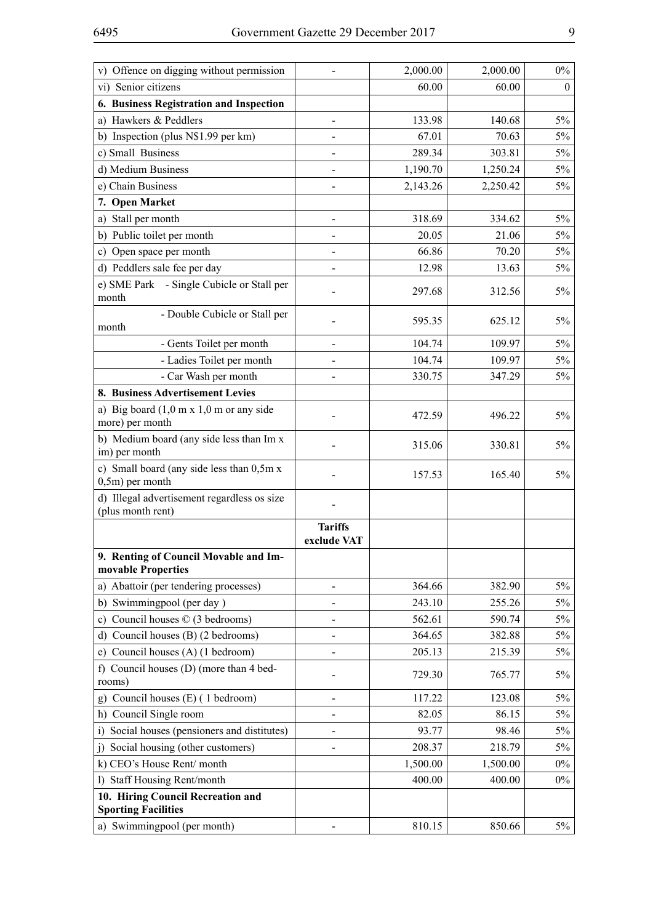| v) Offence on digging without permission                         |                               | 2,000.00 | 2,000.00 | $0\%$        |
|------------------------------------------------------------------|-------------------------------|----------|----------|--------------|
| vi) Senior citizens                                              |                               | 60.00    | 60.00    | $\mathbf{0}$ |
| 6. Business Registration and Inspection                          |                               |          |          |              |
| a) Hawkers & Peddlers                                            |                               | 133.98   | 140.68   | $5\%$        |
| Inspection (plus N\$1.99 per km)<br>b)                           |                               | 67.01    | 70.63    | 5%           |
| c) Small Business                                                | $\overline{a}$                | 289.34   | 303.81   | 5%           |
| d) Medium Business                                               |                               | 1,190.70 | 1,250.24 | 5%           |
| e) Chain Business                                                |                               | 2,143.26 | 2,250.42 | $5\%$        |
| 7. Open Market                                                   |                               |          |          |              |
| a) Stall per month                                               | $\qquad \qquad \blacksquare$  | 318.69   | 334.62   | $5\%$        |
| b) Public toilet per month                                       |                               | 20.05    | 21.06    | 5%           |
| c) Open space per month                                          |                               | 66.86    | 70.20    | 5%           |
| d) Peddlers sale fee per day                                     |                               | 12.98    | 13.63    | 5%           |
| e) SME Park - Single Cubicle or Stall per<br>month               |                               | 297.68   | 312.56   | 5%           |
| - Double Cubicle or Stall per<br>month                           |                               | 595.35   | 625.12   | 5%           |
| - Gents Toilet per month                                         |                               | 104.74   | 109.97   | 5%           |
| - Ladies Toilet per month                                        |                               | 104.74   | 109.97   | 5%           |
| - Car Wash per month                                             |                               | 330.75   | 347.29   | 5%           |
| 8. Business Advertisement Levies                                 |                               |          |          |              |
| a) Big board $(1,0 \text{ m x } 1,0 \text{ m or any side})$      |                               |          |          |              |
| more) per month                                                  |                               | 472.59   | 496.22   | 5%           |
| b) Medium board (any side less than Im x<br>im) per month        |                               | 315.06   | 330.81   | 5%           |
| c) Small board (any side less than 0,5m x<br>$0, 5m$ ) per month |                               | 157.53   | 165.40   | $5\%$        |
| d) Illegal advertisement regardless os size<br>(plus month rent) |                               |          |          |              |
|                                                                  | <b>Tariffs</b><br>exclude VAT |          |          |              |
| 9. Renting of Council Movable and Im-<br>movable Properties      |                               |          |          |              |
| a) Abattoir (per tendering processes)                            |                               | 364.66   | 382.90   | 5%           |
| Swimmingpool (per day)<br>b)                                     |                               | 243.10   | 255.26   | 5%           |
| c) Council houses $\oslash$ (3 bedrooms)                         |                               | 562.61   | 590.74   | 5%           |
| d) Council houses (B) (2 bedrooms)                               |                               | 364.65   | 382.88   | 5%           |
| Council houses (A) (1 bedroom)<br>e)                             |                               | 205.13   | 215.39   | 5%           |
| f) Council houses (D) (more than 4 bed-                          |                               |          |          |              |
| rooms)                                                           |                               | 729.30   | 765.77   | 5%           |
| Council houses (E) (1 bedroom)<br>g)                             | -                             | 117.22   | 123.08   | 5%           |
| h) Council Single room                                           |                               | 82.05    | 86.15    | 5%           |
| Social houses (pensioners and distitutes)<br>i)                  |                               | 93.77    | 98.46    | 5%           |
| Social housing (other customers)<br>$\overline{1}$               |                               | 208.37   | 218.79   | 5%           |
| k) CEO's House Rent/month                                        |                               | 1,500.00 | 1,500.00 | $0\%$        |
| <b>Staff Housing Rent/month</b><br>$\mathbf{D}$                  |                               | 400.00   | 400.00   | $0\%$        |
| 10. Hiring Council Recreation and                                |                               |          |          |              |
| <b>Sporting Facilities</b>                                       |                               |          |          |              |
| a) Swimmingpool (per month)                                      |                               | 810.15   | 850.66   | $5\%$        |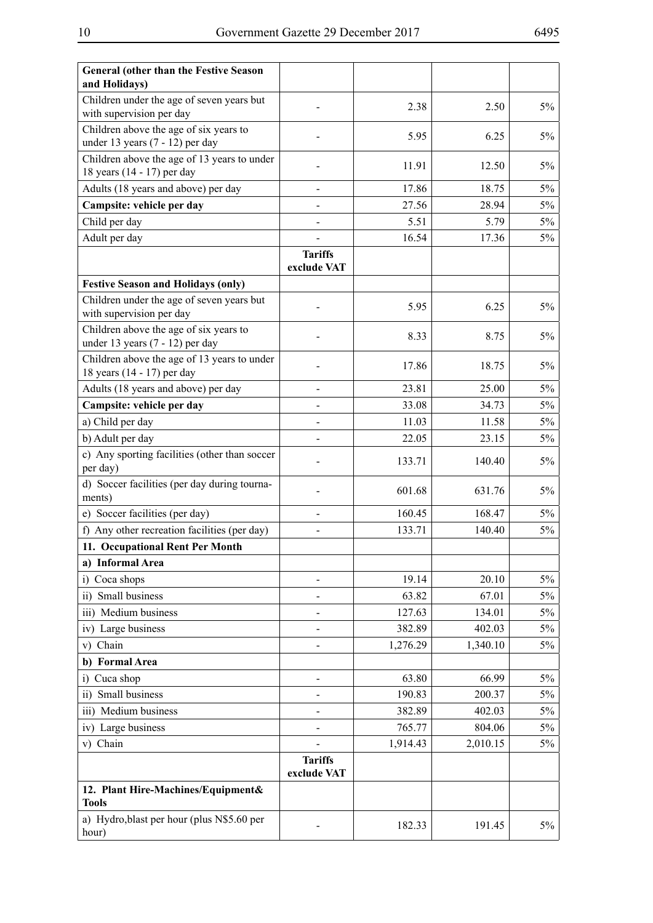| <b>General (other than the Festive Season</b><br>and Holidays)              |                               |          |          |       |
|-----------------------------------------------------------------------------|-------------------------------|----------|----------|-------|
| Children under the age of seven years but<br>with supervision per day       |                               | 2.38     | 2.50     | 5%    |
| Children above the age of six years to<br>under 13 years $(7 - 12)$ per day |                               | 5.95     | 6.25     | 5%    |
| Children above the age of 13 years to under<br>18 years (14 - 17) per day   |                               | 11.91    | 12.50    | 5%    |
| Adults (18 years and above) per day                                         | $\overline{a}$                | 17.86    | 18.75    | 5%    |
| Campsite: vehicle per day                                                   |                               | 27.56    | 28.94    | 5%    |
| Child per day                                                               | $\overline{a}$                | 5.51     | 5.79     | $5\%$ |
| Adult per day                                                               |                               | 16.54    | 17.36    | $5\%$ |
|                                                                             | <b>Tariffs</b><br>exclude VAT |          |          |       |
| <b>Festive Season and Holidays (only)</b>                                   |                               |          |          |       |
| Children under the age of seven years but<br>with supervision per day       |                               | 5.95     | 6.25     | $5\%$ |
| Children above the age of six years to<br>under 13 years $(7 - 12)$ per day |                               | 8.33     | 8.75     | 5%    |
| Children above the age of 13 years to under<br>18 years (14 - 17) per day   |                               | 17.86    | 18.75    | 5%    |
| Adults (18 years and above) per day                                         |                               | 23.81    | 25.00    | 5%    |
| Campsite: vehicle per day                                                   |                               | 33.08    | 34.73    | 5%    |
| a) Child per day                                                            |                               | 11.03    | 11.58    | 5%    |
| b) Adult per day                                                            |                               | 22.05    | 23.15    | $5\%$ |
| c) Any sporting facilities (other than soccer<br>per day)                   |                               | 133.71   | 140.40   | 5%    |
| d) Soccer facilities (per day during tourna-<br>ments)                      |                               | 601.68   | 631.76   | 5%    |
| e) Soccer facilities (per day)                                              | $\overline{a}$                | 160.45   | 168.47   | 5%    |
| f) Any other recreation facilities (per day)                                |                               | 133.71   | 140.40   | 5%    |
| 11. Occupational Rent Per Month                                             |                               |          |          |       |
| a) Informal Area                                                            |                               |          |          |       |
| Coca shops<br>i)                                                            |                               | 19.14    | 20.10    | 5%    |
| Small business<br>$\overline{ii}$                                           |                               | 63.82    | 67.01    | 5%    |
| iii) Medium business                                                        |                               | 127.63   | 134.01   | 5%    |
| iv) Large business                                                          |                               | 382.89   | 402.03   | 5%    |
| Chain<br>V)                                                                 |                               | 1,276.29 | 1,340.10 | 5%    |
| <b>Formal Area</b><br>b)                                                    |                               |          |          |       |
| Cuca shop<br>i)                                                             | $\overline{\phantom{0}}$      | 63.80    | 66.99    | 5%    |
| Small business<br>$\overline{ii}$                                           |                               | 190.83   | 200.37   | 5%    |
| iii) Medium business                                                        |                               | 382.89   | 402.03   | 5%    |
| iv) Large business                                                          |                               | 765.77   | 804.06   | 5%    |
| v) Chain                                                                    |                               | 1,914.43 | 2,010.15 | 5%    |
|                                                                             | <b>Tariffs</b><br>exclude VAT |          |          |       |
| 12. Plant Hire-Machines/Equipment&<br><b>Tools</b>                          |                               |          |          |       |
| a) Hydro, blast per hour (plus N\$5.60 per<br>hour)                         |                               | 182.33   | 191.45   | 5%    |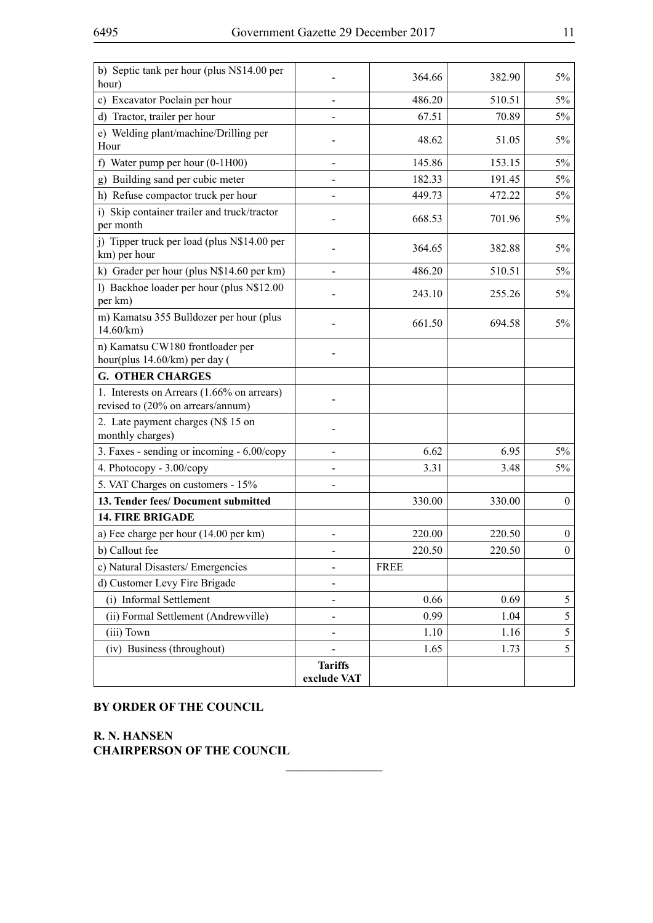| b) Septic tank per hour (plus N\$14.00 per<br>hour)                             |                               | 364.66      | 382.90 | 5%               |
|---------------------------------------------------------------------------------|-------------------------------|-------------|--------|------------------|
| c) Excavator Poclain per hour                                                   |                               | 486.20      | 510.51 | $5\%$            |
| d) Tractor, trailer per hour                                                    |                               | 67.51       | 70.89  | $5\%$            |
| e) Welding plant/machine/Drilling per<br>Hour                                   |                               | 48.62       | 51.05  | 5%               |
| f) Water pump per hour $(0-1H00)$                                               |                               | 145.86      | 153.15 | $5\%$            |
| Building sand per cubic meter<br>g)                                             |                               | 182.33      | 191.45 | $5\%$            |
| h) Refuse compactor truck per hour                                              |                               | 449.73      | 472.22 | $5\%$            |
| i) Skip container trailer and truck/tractor<br>per month                        |                               | 668.53      | 701.96 | $5\%$            |
| j) Tipper truck per load (plus N\$14.00 per<br>km) per hour                     |                               | 364.65      | 382.88 | 5%               |
| k) Grader per hour (plus N\$14.60 per km)                                       |                               | 486.20      | 510.51 | 5%               |
| 1) Backhoe loader per hour (plus N\$12.00<br>per km)                            |                               | 243.10      | 255.26 | 5%               |
| m) Kamatsu 355 Bulldozer per hour (plus<br>14.60/km                             |                               | 661.50      | 694.58 | 5%               |
| n) Kamatsu CW180 frontloader per<br>hour(plus 14.60/km) per day (               |                               |             |        |                  |
| <b>G. OTHER CHARGES</b>                                                         |                               |             |        |                  |
| 1. Interests on Arrears (1.66% on arrears)<br>revised to (20% on arrears/annum) |                               |             |        |                  |
| 2. Late payment charges (N\$ 15 on<br>monthly charges)                          |                               |             |        |                  |
| 3. Faxes - sending or incoming - 6.00/copy                                      |                               | 6.62        | 6.95   | $5\%$            |
| 4. Photocopy - 3.00/copy                                                        |                               | 3.31        | 3.48   | $5\%$            |
| 5. VAT Charges on customers - 15%                                               |                               |             |        |                  |
| 13. Tender fees/ Document submitted                                             |                               | 330.00      | 330.00 | $\overline{0}$   |
| <b>14. FIRE BRIGADE</b>                                                         |                               |             |        |                  |
| a) Fee charge per hour (14.00 per km)                                           |                               | 220.00      | 220.50 | $\boldsymbol{0}$ |
| b) Callout fee                                                                  |                               | 220.50      | 220.50 | $\mathbf{0}$     |
| c) Natural Disasters/Emergencies                                                |                               | <b>FREE</b> |        |                  |
| d) Customer Levy Fire Brigade                                                   |                               |             |        |                  |
| (i) Informal Settlement                                                         |                               | 0.66        | 0.69   | 5                |
| (ii) Formal Settlement (Andrewville)                                            |                               | 0.99        | 1.04   | 5                |
| (iii) Town                                                                      |                               | 1.10        | 1.16   | 5                |
| (iv) Business (throughout)                                                      |                               | 1.65        | 1.73   | 5                |
|                                                                                 | <b>Tariffs</b><br>exclude VAT |             |        |                  |

 $\frac{1}{2}$ 

**BY ORDER OF THE COUNCIL**

**R. N. Hansen CHAIRPERSON OF THE COUNCIL**